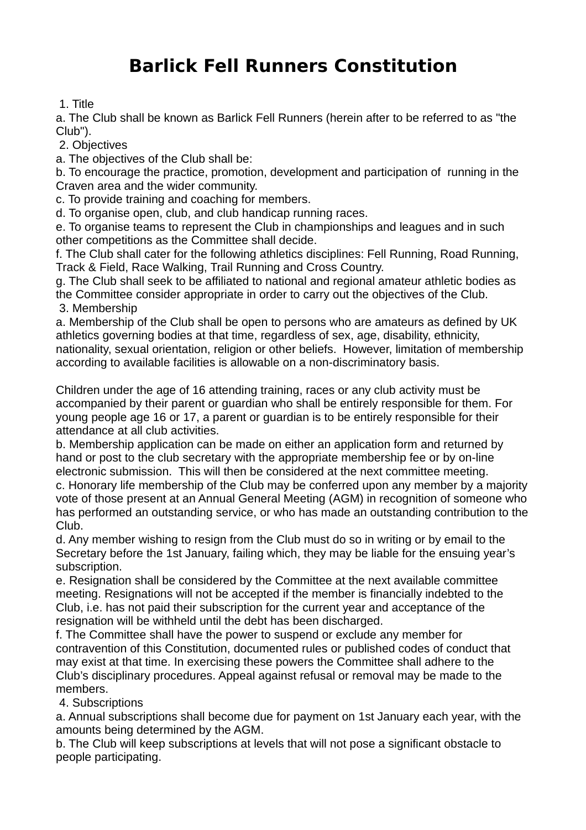## **Barlick Fell Runners Constitution**

## 1. Title

a. The Club shall be known as Barlick Fell Runners (herein after to be referred to as "the Club").

2. Objectives

a. The objectives of the Club shall be:

b. To encourage the practice, promotion, development and participation of running in the Craven area and the wider community.

c. To provide training and coaching for members.

d. To organise open, club, and club handicap running races.

e. To organise teams to represent the Club in championships and leagues and in such other competitions as the Committee shall decide.

f. The Club shall cater for the following athletics disciplines: Fell Running, Road Running, Track & Field, Race Walking, Trail Running and Cross Country.

g. The Club shall seek to be affiliated to national and regional amateur athletic bodies as the Committee consider appropriate in order to carry out the objectives of the Club. 3. Membership

a. Membership of the Club shall be open to persons who are amateurs as defined by UK athletics governing bodies at that time, regardless of sex, age, disability, ethnicity, nationality, sexual orientation, religion or other beliefs. However, limitation of membership according to available facilities is allowable on a non-discriminatory basis.

Children under the age of 16 attending training, races or any club activity must be accompanied by their parent or guardian who shall be entirely responsible for them. For young people age 16 or 17, a parent or guardian is to be entirely responsible for their attendance at all club activities.

b. Membership application can be made on either an application form and returned by hand or post to the club secretary with the appropriate membership fee or by on-line electronic submission. This will then be considered at the next committee meeting. c. Honorary life membership of the Club may be conferred upon any member by a majority vote of those present at an Annual General Meeting (AGM) in recognition of someone who has performed an outstanding service, or who has made an outstanding contribution to the Club.

d. Any member wishing to resign from the Club must do so in writing or by email to the Secretary before the 1st January, failing which, they may be liable for the ensuing year's subscription.

e. Resignation shall be considered by the Committee at the next available committee meeting. Resignations will not be accepted if the member is financially indebted to the Club, i.e. has not paid their subscription for the current year and acceptance of the resignation will be withheld until the debt has been discharged.

f. The Committee shall have the power to suspend or exclude any member for contravention of this Constitution, documented rules or published codes of conduct that may exist at that time. In exercising these powers the Committee shall adhere to the Club's disciplinary procedures. Appeal against refusal or removal may be made to the members.

4. Subscriptions

a. Annual subscriptions shall become due for payment on 1st January each year, with the amounts being determined by the AGM.

b. The Club will keep subscriptions at levels that will not pose a significant obstacle to people participating.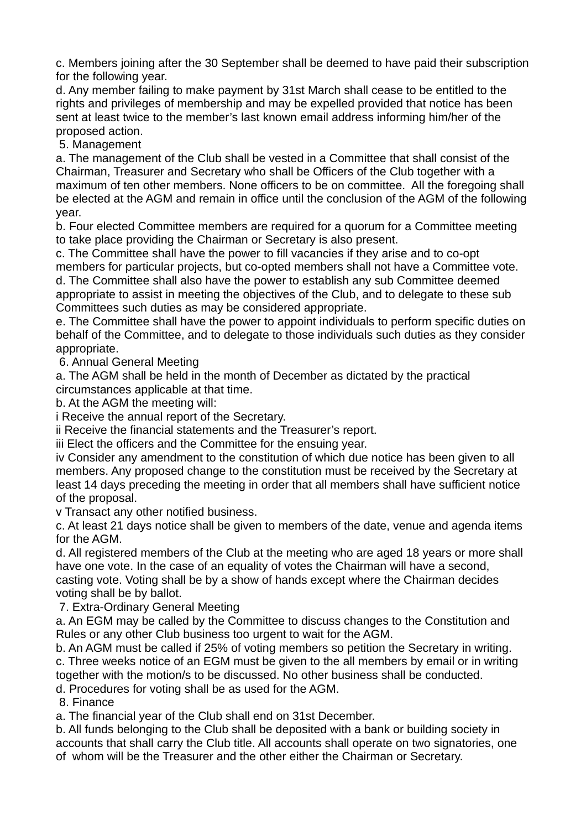c. Members joining after the 30 September shall be deemed to have paid their subscription for the following year.

d. Any member failing to make payment by 31st March shall cease to be entitled to the rights and privileges of membership and may be expelled provided that notice has been sent at least twice to the member's last known email address informing him/her of the proposed action.

5. Management

a. The management of the Club shall be vested in a Committee that shall consist of the Chairman, Treasurer and Secretary who shall be Officers of the Club together with a maximum of ten other members. None officers to be on committee. All the foregoing shall be elected at the AGM and remain in office until the conclusion of the AGM of the following year.

b. Four elected Committee members are required for a quorum for a Committee meeting to take place providing the Chairman or Secretary is also present.

c. The Committee shall have the power to fill vacancies if they arise and to co-opt members for particular projects, but co-opted members shall not have a Committee vote.

d. The Committee shall also have the power to establish any sub Committee deemed appropriate to assist in meeting the objectives of the Club, and to delegate to these sub Committees such duties as may be considered appropriate.

e. The Committee shall have the power to appoint individuals to perform specific duties on behalf of the Committee, and to delegate to those individuals such duties as they consider appropriate.

6. Annual General Meeting

a. The AGM shall be held in the month of December as dictated by the practical circumstances applicable at that time.

b. At the AGM the meeting will:

i Receive the annual report of the Secretary.

ii Receive the financial statements and the Treasurer's report.

iii Elect the officers and the Committee for the ensuing year.

iv Consider any amendment to the constitution of which due notice has been given to all members. Any proposed change to the constitution must be received by the Secretary at least 14 days preceding the meeting in order that all members shall have sufficient notice of the proposal.

v Transact any other notified business.

c. At least 21 days notice shall be given to members of the date, venue and agenda items for the AGM.

d. All registered members of the Club at the meeting who are aged 18 years or more shall have one vote. In the case of an equality of votes the Chairman will have a second, casting vote. Voting shall be by a show of hands except where the Chairman decides voting shall be by ballot.

7. Extra-Ordinary General Meeting

a. An EGM may be called by the Committee to discuss changes to the Constitution and Rules or any other Club business too urgent to wait for the AGM.

b. An AGM must be called if 25% of voting members so petition the Secretary in writing. c. Three weeks notice of an EGM must be given to the all members by email or in writing together with the motion/s to be discussed. No other business shall be conducted.

d. Procedures for voting shall be as used for the AGM.

8. Finance

a. The financial year of the Club shall end on 31st December.

b. All funds belonging to the Club shall be deposited with a bank or building society in accounts that shall carry the Club title. All accounts shall operate on two signatories, one of whom will be the Treasurer and the other either the Chairman or Secretary.